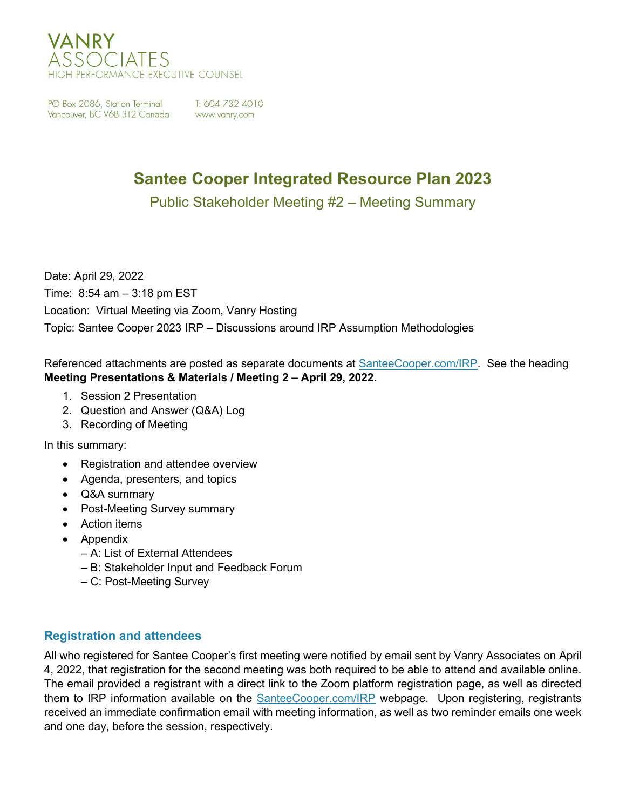

PO Box 2086, Station Terminal Vancouver, BC V6B 3T2 Canada

T: 604 732 4010 www.vanry.com

## **Santee Cooper Integrated Resource Plan 2023**

Public Stakeholder Meeting #2 – Meeting Summary

Date: April 29, 2022 Time: 8:54 am – 3:18 pm EST Location: Virtual Meeting via Zoom, Vanry Hosting Topic: Santee Cooper 2023 IRP – Discussions around IRP Assumption Methodologies

Referenced attachments are posted as separate documents at **SanteeCooper.com/IRP.** See the heading **Meeting Presentations & Materials / Meeting 2 – April 29, 2022**.

- 1. Session 2 Presentation
- 2. Question and Answer (Q&A) Log
- 3. Recording of Meeting

In this summary:

- Registration and attendee overview
- Agenda, presenters, and topics
- Q&A summary
- Post-Meeting Survey summary
- Action items
- Appendix
	- A: List of External Attendees
	- B: Stakeholder Input and Feedback Forum
	- C: Post-Meeting Survey

### **Registration and attendees**

All who registered for Santee Cooper's first meeting were notified by email sent by Vanry Associates on April 4, 2022, that registration for the second meeting was both required to be able to attend and available online. The email provided a registrant with a direct link to the Zoom platform registration page, as well as directed them to IRP information available on the [SanteeCooper.com/IRP](http://www.santeecooper.com/irp) webpage. Upon registering, registrants received an immediate confirmation email with meeting information, as well as two reminder emails one week and one day, before the session, respectively.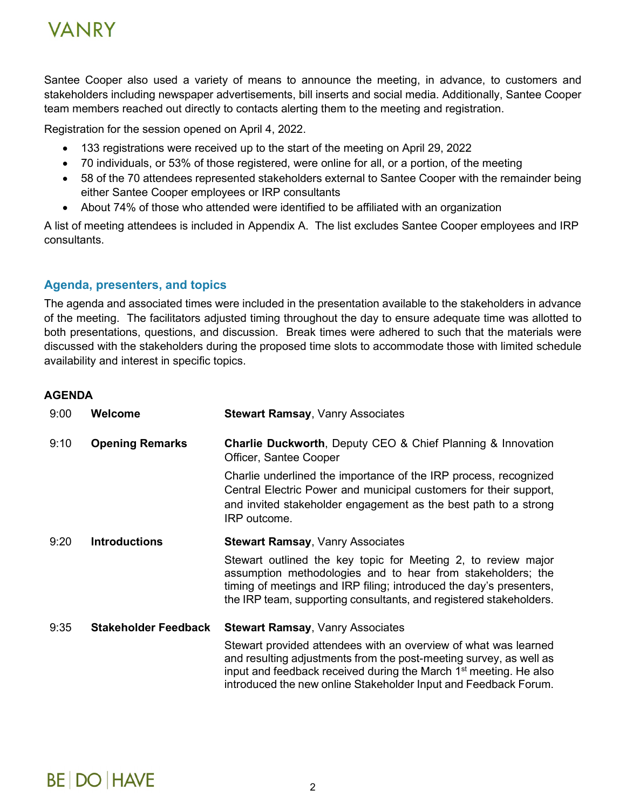Santee Cooper also used a variety of means to announce the meeting, in advance, to customers and stakeholders including newspaper advertisements, bill inserts and social media. Additionally, Santee Cooper team members reached out directly to contacts alerting them to the meeting and registration.

Registration for the session opened on April 4, 2022.

- 133 registrations were received up to the start of the meeting on April 29, 2022
- 70 individuals, or 53% of those registered, were online for all, or a portion, of the meeting
- 58 of the 70 attendees represented stakeholders external to Santee Cooper with the remainder being either Santee Cooper employees or IRP consultants
- About 74% of those who attended were identified to be affiliated with an organization

A list of meeting attendees is included in Appendix A. The list excludes Santee Cooper employees and IRP consultants.

## **Agenda, presenters, and topics**

The agenda and associated times were included in the presentation available to the stakeholders in advance of the meeting. The facilitators adjusted timing throughout the day to ensure adequate time was allotted to both presentations, questions, and discussion. Break times were adhered to such that the materials were discussed with the stakeholders during the proposed time slots to accommodate those with limited schedule availability and interest in specific topics.

### **AGENDA**

| 9:00 | Welcome                     | <b>Stewart Ramsay, Vanry Associates</b>                                                                                                                                                                                                                                                   |
|------|-----------------------------|-------------------------------------------------------------------------------------------------------------------------------------------------------------------------------------------------------------------------------------------------------------------------------------------|
| 9:10 | <b>Opening Remarks</b>      | <b>Charlie Duckworth, Deputy CEO &amp; Chief Planning &amp; Innovation</b><br>Officer, Santee Cooper                                                                                                                                                                                      |
|      |                             | Charlie underlined the importance of the IRP process, recognized<br>Central Electric Power and municipal customers for their support,<br>and invited stakeholder engagement as the best path to a strong<br>IRP outcome.                                                                  |
| 9:20 | <b>Introductions</b>        | <b>Stewart Ramsay, Vanry Associates</b>                                                                                                                                                                                                                                                   |
|      |                             | Stewart outlined the key topic for Meeting 2, to review major<br>assumption methodologies and to hear from stakeholders; the<br>timing of meetings and IRP filing; introduced the day's presenters,<br>the IRP team, supporting consultants, and registered stakeholders.                 |
| 9:35 | <b>Stakeholder Feedback</b> | <b>Stewart Ramsay, Vanry Associates</b>                                                                                                                                                                                                                                                   |
|      |                             | Stewart provided attendees with an overview of what was learned<br>and resulting adjustments from the post-meeting survey, as well as<br>input and feedback received during the March 1 <sup>st</sup> meeting. He also<br>introduced the new online Stakeholder Input and Feedback Forum. |

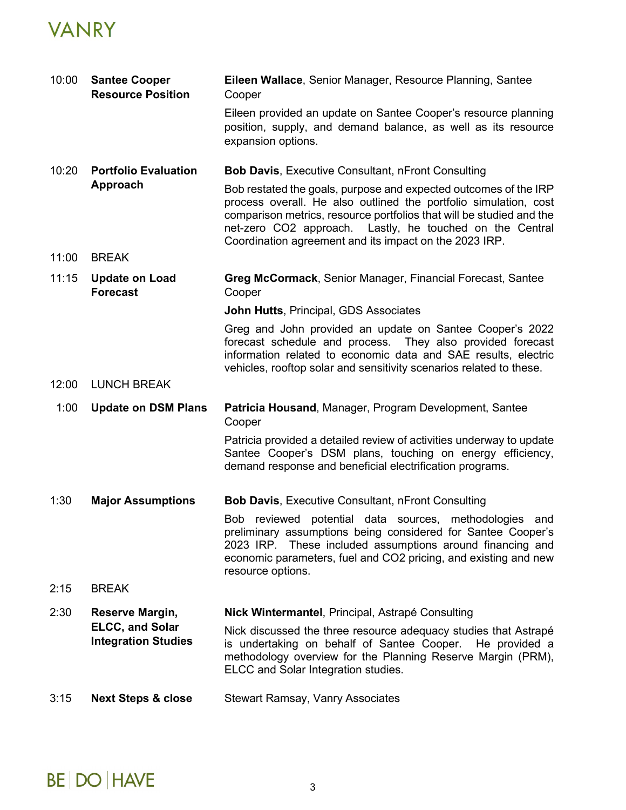| 10:00 | <b>Santee Cooper</b><br><b>Resource Position</b>     | Eileen Wallace, Senior Manager, Resource Planning, Santee<br>Cooper                                                                                                                                                                                                                                                                |
|-------|------------------------------------------------------|------------------------------------------------------------------------------------------------------------------------------------------------------------------------------------------------------------------------------------------------------------------------------------------------------------------------------------|
|       |                                                      | Eileen provided an update on Santee Cooper's resource planning<br>position, supply, and demand balance, as well as its resource<br>expansion options.                                                                                                                                                                              |
| 10:20 | <b>Portfolio Evaluation</b>                          | <b>Bob Davis, Executive Consultant, nFront Consulting</b>                                                                                                                                                                                                                                                                          |
|       | Approach                                             | Bob restated the goals, purpose and expected outcomes of the IRP<br>process overall. He also outlined the portfolio simulation, cost<br>comparison metrics, resource portfolios that will be studied and the<br>net-zero CO2 approach. Lastly, he touched on the Central<br>Coordination agreement and its impact on the 2023 IRP. |
| 11:00 | <b>BREAK</b>                                         |                                                                                                                                                                                                                                                                                                                                    |
| 11:15 | <b>Update on Load</b><br><b>Forecast</b>             | Greg McCormack, Senior Manager, Financial Forecast, Santee<br>Cooper                                                                                                                                                                                                                                                               |
|       |                                                      | <b>John Hutts, Principal, GDS Associates</b>                                                                                                                                                                                                                                                                                       |
|       |                                                      | Greg and John provided an update on Santee Cooper's 2022<br>forecast schedule and process. They also provided forecast<br>information related to economic data and SAE results, electric<br>vehicles, rooftop solar and sensitivity scenarios related to these.                                                                    |
| 12:00 | <b>LUNCH BREAK</b>                                   |                                                                                                                                                                                                                                                                                                                                    |
| 1:00  | <b>Update on DSM Plans</b>                           | Patricia Housand, Manager, Program Development, Santee<br>Cooper                                                                                                                                                                                                                                                                   |
|       |                                                      | Patricia provided a detailed review of activities underway to update<br>Santee Cooper's DSM plans, touching on energy efficiency,<br>demand response and beneficial electrification programs.                                                                                                                                      |
| 1:30  | <b>Major Assumptions</b>                             | <b>Bob Davis, Executive Consultant, nFront Consulting</b>                                                                                                                                                                                                                                                                          |
|       |                                                      | Bob reviewed potential data sources, methodologies and<br>preliminary assumptions being considered for Santee Cooper's<br>2023 IRP. These included assumptions around financing and<br>economic parameters, fuel and CO2 pricing, and existing and new<br>resource options.                                                        |
| 2:15  | <b>BREAK</b>                                         |                                                                                                                                                                                                                                                                                                                                    |
| 2:30  | Reserve Margin,                                      | Nick Wintermantel, Principal, Astrapé Consulting                                                                                                                                                                                                                                                                                   |
|       | <b>ELCC, and Solar</b><br><b>Integration Studies</b> | Nick discussed the three resource adequacy studies that Astrapé<br>is undertaking on behalf of Santee Cooper.<br>He provided a<br>methodology overview for the Planning Reserve Margin (PRM),<br>ELCC and Solar Integration studies.                                                                                               |
| 3:15  | <b>Next Steps &amp; close</b>                        | <b>Stewart Ramsay, Vanry Associates</b>                                                                                                                                                                                                                                                                                            |

# **BE | DO | HAVE**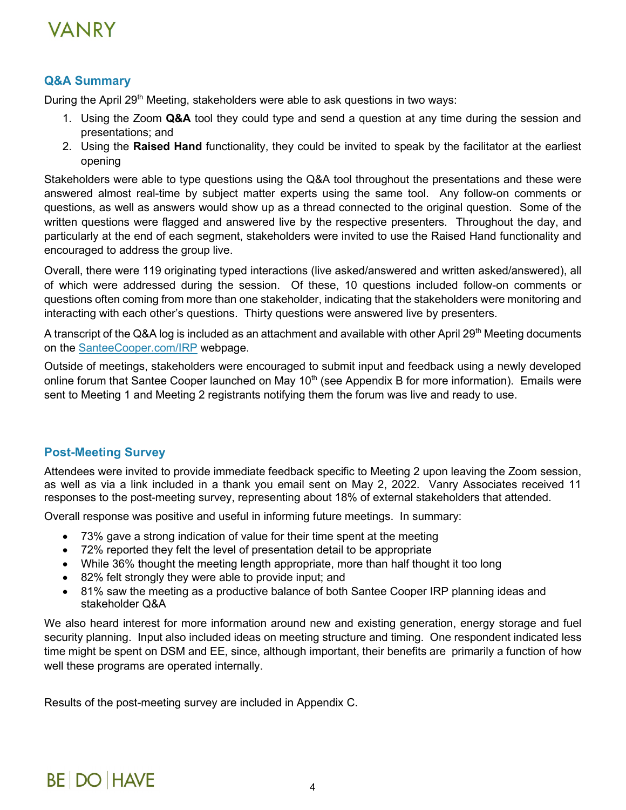

### **Q&A Summary**

During the April  $29<sup>th</sup>$  Meeting, stakeholders were able to ask questions in two ways:

- 1. Using the Zoom **Q&A** tool they could type and send a question at any time during the session and presentations; and
- 2. Using the **Raised Hand** functionality, they could be invited to speak by the facilitator at the earliest opening

Stakeholders were able to type questions using the Q&A tool throughout the presentations and these were answered almost real-time by subject matter experts using the same tool. Any follow-on comments or questions, as well as answers would show up as a thread connected to the original question. Some of the written questions were flagged and answered live by the respective presenters. Throughout the day, and particularly at the end of each segment, stakeholders were invited to use the Raised Hand functionality and encouraged to address the group live.

Overall, there were 119 originating typed interactions (live asked/answered and written asked/answered), all of which were addressed during the session. Of these, 10 questions included follow-on comments or questions often coming from more than one stakeholder, indicating that the stakeholders were monitoring and interacting with each other's questions. Thirty questions were answered live by presenters.

A transcript of the Q&A log is included as an attachment and available with other April 29<sup>th</sup> Meeting documents on the **SanteeCooper.com/IRP** webpage.

Outside of meetings, stakeholders were encouraged to submit input and feedback using a newly developed online forum that Santee Cooper launched on May 10<sup>th</sup> (see Appendix B for more information). Emails were sent to Meeting 1 and Meeting 2 registrants notifying them the forum was live and ready to use.

#### **Post-Meeting Survey**

Attendees were invited to provide immediate feedback specific to Meeting 2 upon leaving the Zoom session, as well as via a link included in a thank you email sent on May 2, 2022. Vanry Associates received 11 responses to the post-meeting survey, representing about 18% of external stakeholders that attended.

Overall response was positive and useful in informing future meetings. In summary:

- 73% gave a strong indication of value for their time spent at the meeting
- 72% reported they felt the level of presentation detail to be appropriate
- While 36% thought the meeting length appropriate, more than half thought it too long
- 82% felt strongly they were able to provide input; and
- 81% saw the meeting as a productive balance of both Santee Cooper IRP planning ideas and stakeholder Q&A

We also heard interest for more information around new and existing generation, energy storage and fuel security planning. Input also included ideas on meeting structure and timing. One respondent indicated less time might be spent on DSM and EE, since, although important, their benefits are primarily a function of how well these programs are operated internally.

Results of the post-meeting survey are included in Appendix C.

# **BE | DO | HAVE**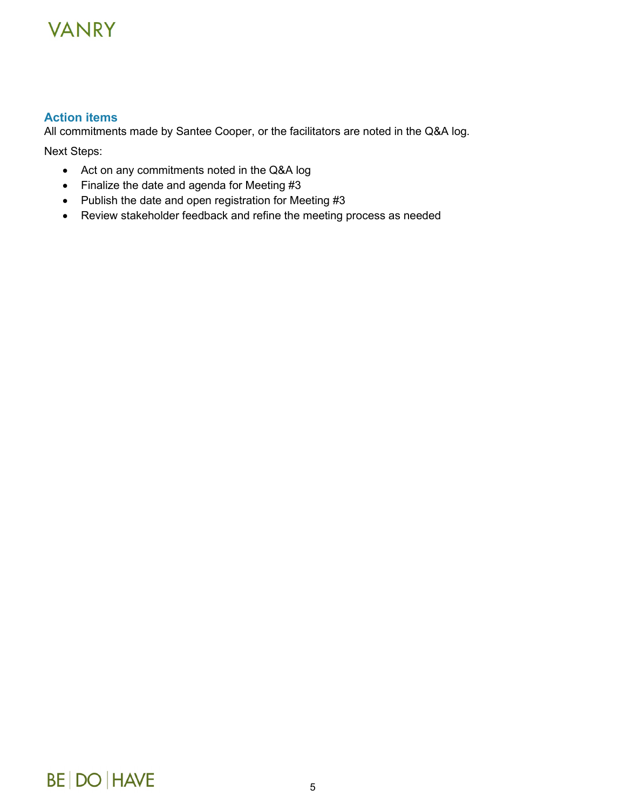### **Action items**

All commitments made by Santee Cooper, or the facilitators are noted in the Q&A log.

Next Steps:

- Act on any commitments noted in the Q&A log
- Finalize the date and agenda for Meeting #3
- Publish the date and open registration for Meeting #3
- Review stakeholder feedback and refine the meeting process as needed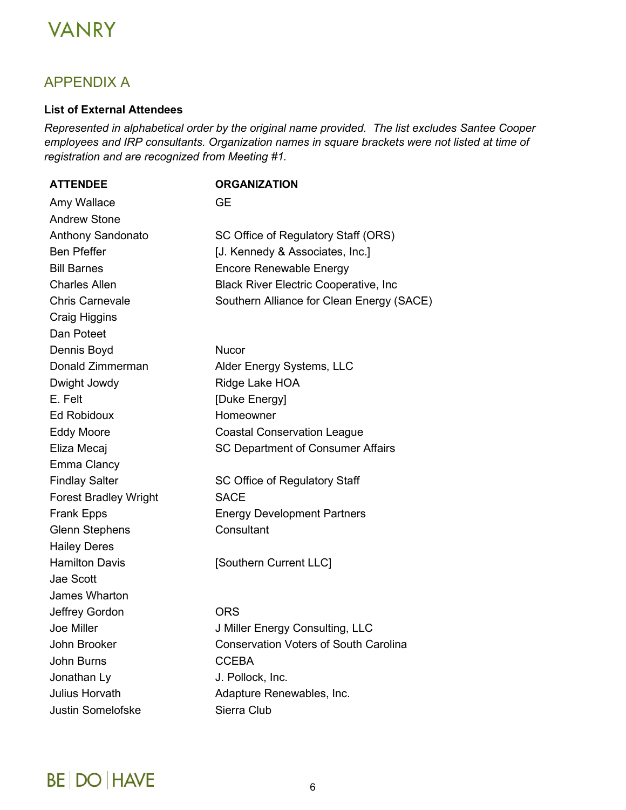## APPENDIX A

#### **List of External Attendees**

*Represented in alphabetical order by the original name provided. The list excludes Santee Cooper employees and IRP consultants. Organization names in square brackets were not listed at time of registration and are recognized from Meeting #1.* 

| <b>ATTENDEE</b>              | <b>ORGANIZATION</b>                          |
|------------------------------|----------------------------------------------|
| Amy Wallace                  | <b>GE</b>                                    |
| <b>Andrew Stone</b>          |                                              |
| <b>Anthony Sandonato</b>     | SC Office of Regulatory Staff (ORS)          |
| <b>Ben Pfeffer</b>           | [J. Kennedy & Associates, Inc.]              |
| <b>Bill Barnes</b>           | <b>Encore Renewable Energy</b>               |
| <b>Charles Allen</b>         | <b>Black River Electric Cooperative, Inc</b> |
| <b>Chris Carnevale</b>       | Southern Alliance for Clean Energy (SACE)    |
| Craig Higgins                |                                              |
| Dan Poteet                   |                                              |
| Dennis Boyd                  | <b>Nucor</b>                                 |
| Donald Zimmerman             | Alder Energy Systems, LLC                    |
| Dwight Jowdy                 | Ridge Lake HOA                               |
| E. Felt                      | [Duke Energy]                                |
| <b>Ed Robidoux</b>           | Homeowner                                    |
| <b>Eddy Moore</b>            | <b>Coastal Conservation League</b>           |
| Eliza Mecaj                  | <b>SC Department of Consumer Affairs</b>     |
| <b>Emma Clancy</b>           |                                              |
| <b>Findlay Salter</b>        | SC Office of Regulatory Staff                |
| <b>Forest Bradley Wright</b> | <b>SACE</b>                                  |
| <b>Frank Epps</b>            | <b>Energy Development Partners</b>           |
| <b>Glenn Stephens</b>        | Consultant                                   |
| <b>Hailey Deres</b>          |                                              |
| <b>Hamilton Davis</b>        | [Southern Current LLC]                       |
| Jae Scott                    |                                              |
| James Wharton                |                                              |
| Jeffrey Gordon               | <b>ORS</b>                                   |
| Joe Miller                   | J Miller Energy Consulting, LLC              |
| John Brooker                 | <b>Conservation Voters of South Carolina</b> |
| John Burns                   | <b>CCEBA</b>                                 |
| Jonathan Ly                  | J. Pollock, Inc.                             |
| Julius Horvath               | Adapture Renewables, Inc.                    |
| <b>Justin Somelofske</b>     | Sierra Club                                  |
|                              |                                              |

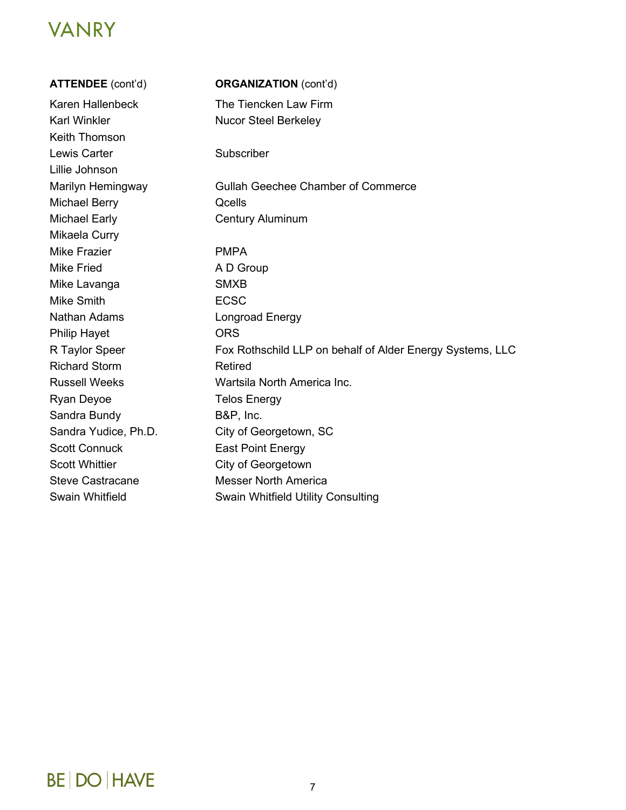| <b>ATTENDEE</b> (cont'd) | <b>ORGANIZATION</b> (cont'd)                              |
|--------------------------|-----------------------------------------------------------|
| Karen Hallenbeck         | The Tiencken Law Firm                                     |
| <b>Karl Winkler</b>      | <b>Nucor Steel Berkeley</b>                               |
| Keith Thomson            |                                                           |
| <b>Lewis Carter</b>      | Subscriber                                                |
| Lillie Johnson           |                                                           |
| Marilyn Hemingway        | <b>Gullah Geechee Chamber of Commerce</b>                 |
| <b>Michael Berry</b>     | Qcells                                                    |
| <b>Michael Early</b>     | <b>Century Aluminum</b>                                   |
| Mikaela Curry            |                                                           |
| <b>Mike Frazier</b>      | <b>PMPA</b>                                               |
| <b>Mike Fried</b>        | A D Group                                                 |
| Mike Lavanga             | <b>SMXB</b>                                               |
| Mike Smith               | <b>ECSC</b>                                               |
| <b>Nathan Adams</b>      | Longroad Energy                                           |
| <b>Philip Hayet</b>      | <b>ORS</b>                                                |
| R Taylor Speer           | Fox Rothschild LLP on behalf of Alder Energy Systems, LLC |
| <b>Richard Storm</b>     | <b>Retired</b>                                            |
| <b>Russell Weeks</b>     | Wartsila North America Inc.                               |
| Ryan Deyoe               | <b>Telos Energy</b>                                       |
| Sandra Bundy             | B&P, Inc.                                                 |
| Sandra Yudice, Ph.D.     | City of Georgetown, SC                                    |
| <b>Scott Connuck</b>     | <b>East Point Energy</b>                                  |
| <b>Scott Whittier</b>    | City of Georgetown                                        |
| <b>Steve Castracane</b>  | <b>Messer North America</b>                               |
| <b>Swain Whitfield</b>   | Swain Whitfield Utility Consulting                        |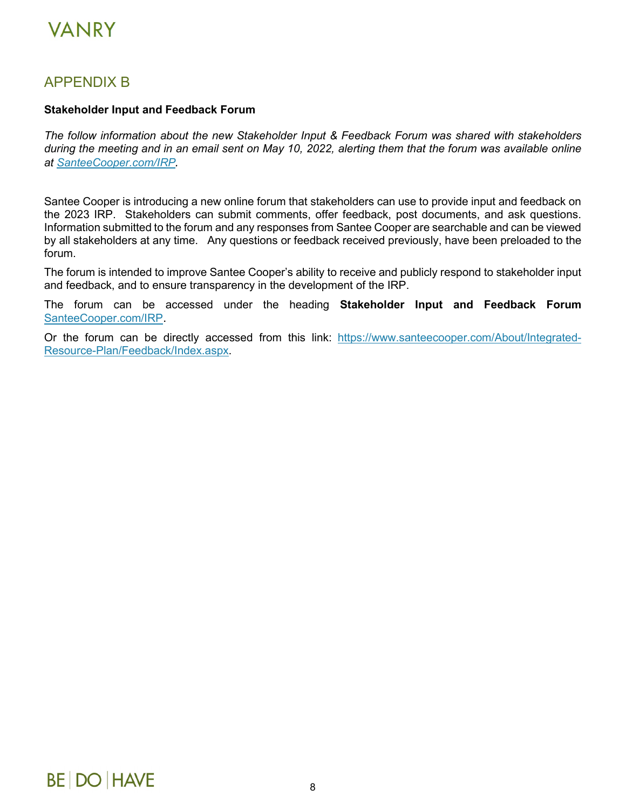

## APPENDIX B

#### **Stakeholder Input and Feedback Forum**

*The follow information about the new Stakeholder Input & Feedback Forum was shared with stakeholders during the meeting and in an email sent on May 10, 2022, alerting them that the forum was available online at [SanteeCooper.com/IRP](http://www.santeecooper.com/irp).* 

Santee Cooper is introducing a new online forum that stakeholders can use to provide input and feedback on the 2023 IRP. Stakeholders can submit comments, offer feedback, post documents, and ask questions. Information submitted to the forum and any responses from Santee Cooper are searchable and can be viewed by all stakeholders at any time. Any questions or feedback received previously, have been preloaded to the forum.

The forum is intended to improve Santee Cooper's ability to receive and publicly respond to stakeholder input and feedback, and to ensure transparency in the development of the IRP.

The forum can be accessed under the heading **Stakeholder Input and Feedback Forum** [SanteeCooper.com/IRP.](http://www.santeecooper.com/irp)

Or the forum can be directly accessed from this link: [https://www.santeecooper.com/About/Integrated-](https://www.santeecooper.com/About/Integrated-Resource-Plan/Feedback/Index.aspx)[Resource-Plan/Feedback/Index.aspx.](https://www.santeecooper.com/About/Integrated-Resource-Plan/Feedback/Index.aspx)

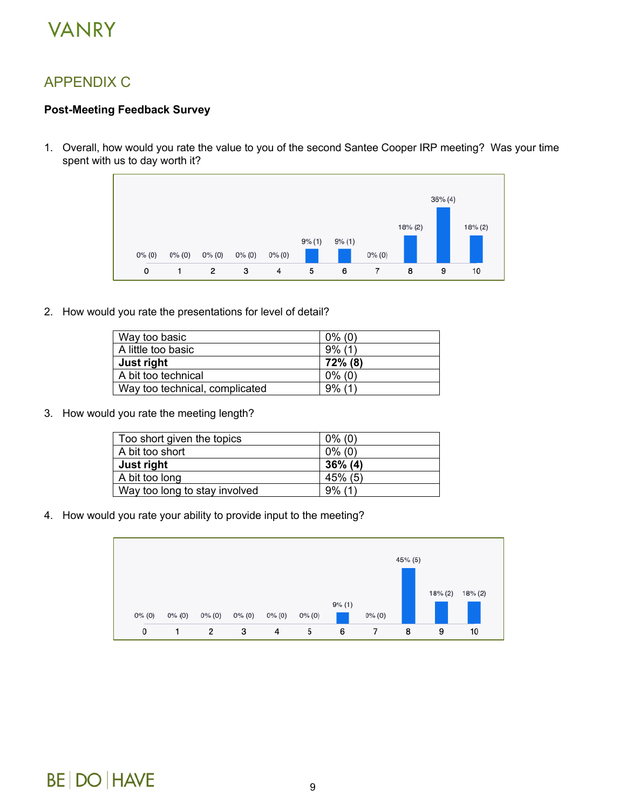## APPENDIX C

#### **Post-Meeting Feedback Survey**

1. Overall, how would you rate the value to you of the second Santee Cooper IRP meeting? Was your time spent with us to day worth it?



2. How would you rate the presentations for level of detail?

| Way too basic                  | $0\%$ (0) |
|--------------------------------|-----------|
| A little too basic             | $9\%$ (1) |
| Just right                     | 72% (8)   |
| A bit too technical            | $0\%$ (0) |
| Way too technical, complicated | $9\%$ (1) |

3. How would you rate the meeting length?

| Too short given the topics    | $0\%$ (0)  |
|-------------------------------|------------|
| A bit too short               | $0\%$ (0)  |
| Just right                    | $36\%$ (4) |
| A bit too long                | 45% (5)    |
| Way too long to stay involved | $9\%$ (1)  |

4. How would you rate your ability to provide input to the meeting?



## **BE DO HAVE**